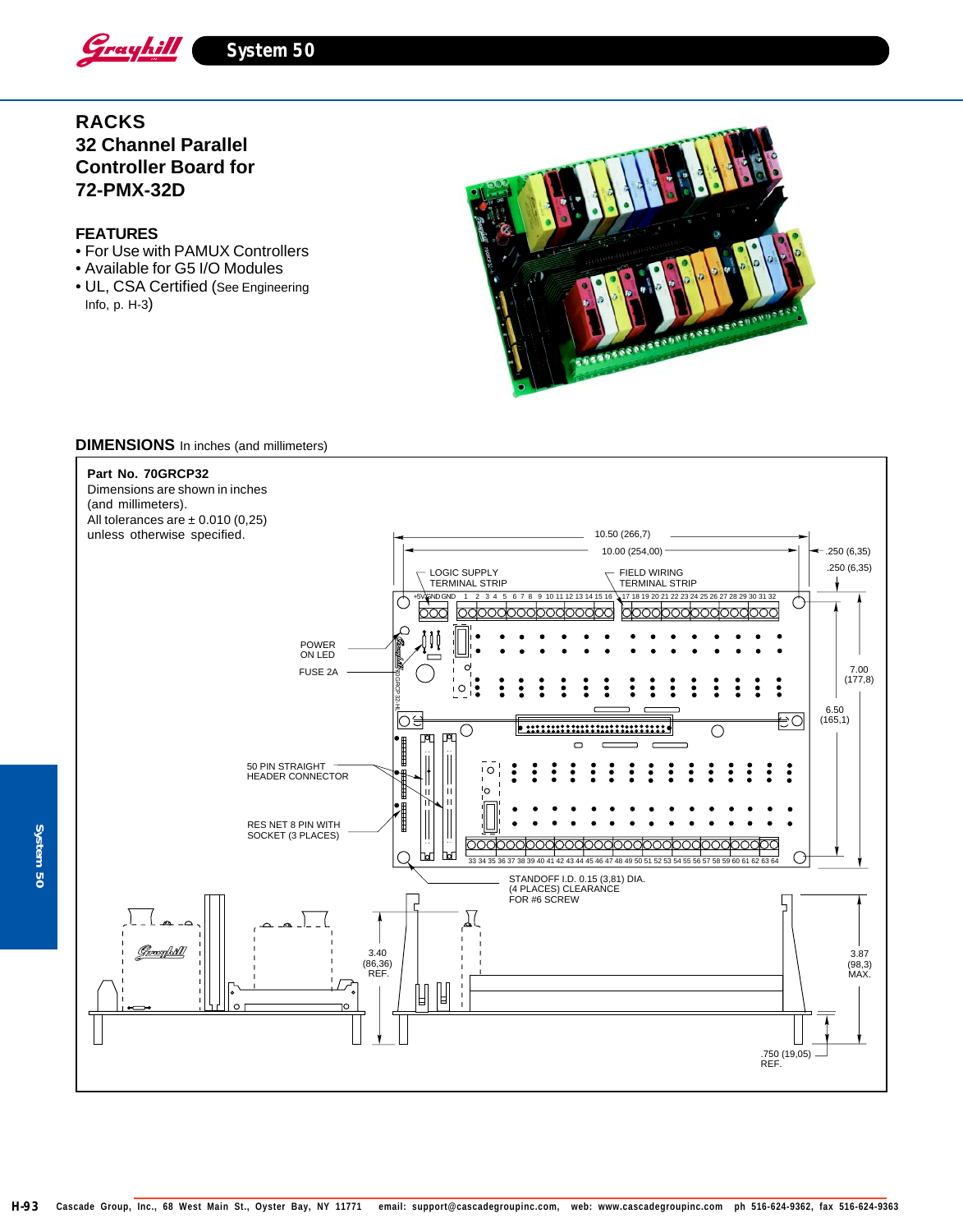

# **RACKS 32 Channel Parallel Controller Board for 72-PMX-32D**

### **FEATURES**

- **32 Module Racks and Bases** For Use with PAMUX Controllers
- Available for G5 I/O Modules
- UL, CSA Certified (See Engineering Info, p. H-3)



#### **DIMENSIONS** In inches (and millimeters)